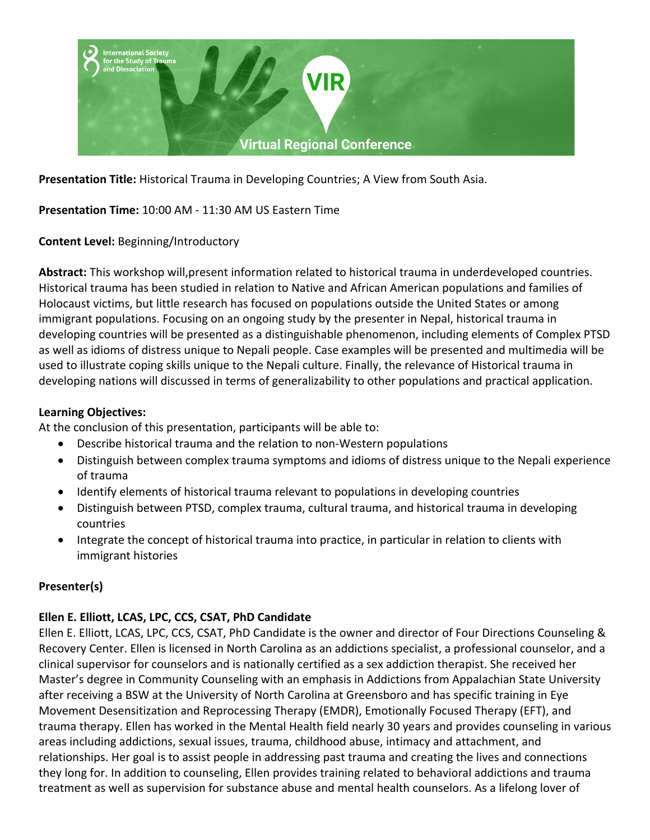

**Presentation Title:** Historical Trauma in Developing Countries; A View from South Asia.

**Presentation Time:** 10:00 AM - 11:30 AM US Eastern Time

**Content Level:** Beginning/Introductory

**Abstract:** This workshop will,present information related to historical trauma in underdeveloped countries. Historical trauma has been studied in relation to Native and African American populations and families of Holocaust victims, but little research has focused on populations outside the United States or among immigrant populations. Focusing on an ongoing study by the presenter in Nepal, historical trauma in developing countries will be presented as a distinguishable phenomenon, including elements of Complex PTSD as well as idioms of distress unique to Nepali people. Case examples will be presented and multimedia will be used to illustrate coping skills unique to the Nepali culture. Finally, the relevance of Historical trauma in developing nations will discussed in terms of generalizability to other populations and practical application.

## **Learning Objectives:**

At the conclusion of this presentation, participants will be able to:

- Describe historical trauma and the relation to non-Western populations
- Distinguish between complex trauma symptoms and idioms of distress unique to the Nepali experience of trauma
- Identify elements of historical trauma relevant to populations in developing countries
- Distinguish between PTSD, complex trauma, cultural trauma, and historical trauma in developing countries
- Integrate the concept of historical trauma into practice, in particular in relation to clients with immigrant histories

## **Presenter(s)**

## **Ellen E. Elliott, LCAS, LPC, CCS, CSAT, PhD Candidate**

Ellen E. Elliott, LCAS, LPC, CCS, CSAT, PhD Candidate is the owner and director of Four Directions Counseling & Recovery Center. Ellen is licensed in North Carolina as an addictions specialist, a professional counselor, and a clinical supervisor for counselors and is nationally certified as a sex addiction therapist. She received her Master's degree in Community Counseling with an emphasis in Addictions from Appalachian State University after receiving a BSW at the University of North Carolina at Greensboro and has specific training in Eye Movement Desensitization and Reprocessing Therapy (EMDR), Emotionally Focused Therapy (EFT), and trauma therapy. Ellen has worked in the Mental Health field nearly 30 years and provides counseling in various areas including addictions, sexual issues, trauma, childhood abuse, intimacy and attachment, and relationships. Her goal is to assist people in addressing past trauma and creating the lives and connections they long for. In addition to counseling, Ellen provides training related to behavioral addictions and trauma treatment as well as supervision for substance abuse and mental health counselors. As a lifelong lover of